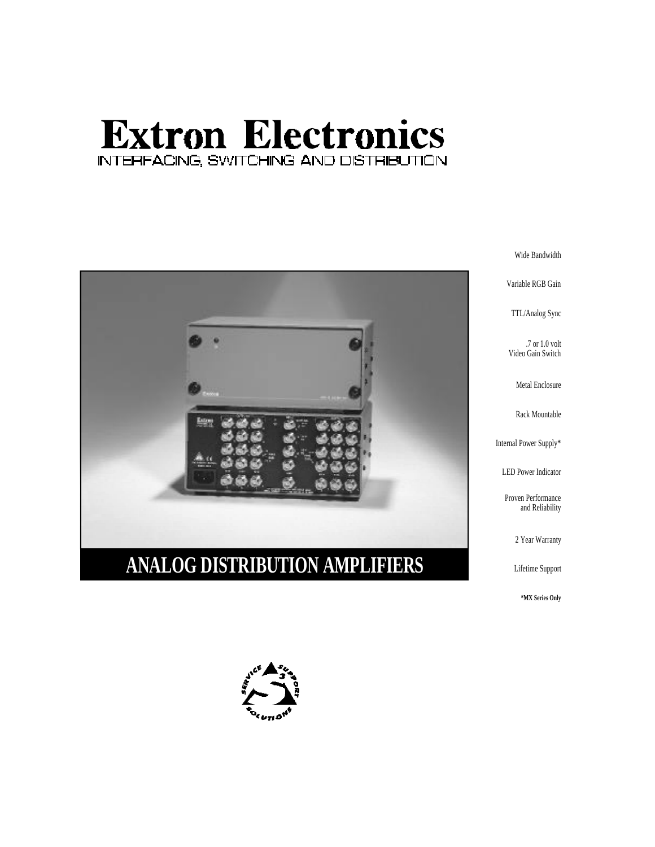# **Extron Electronics** INTERFACING, SWITCHING AND DISTRIBUTION



.7 or 1.0 volt

and Reliability

\*MX Series Only

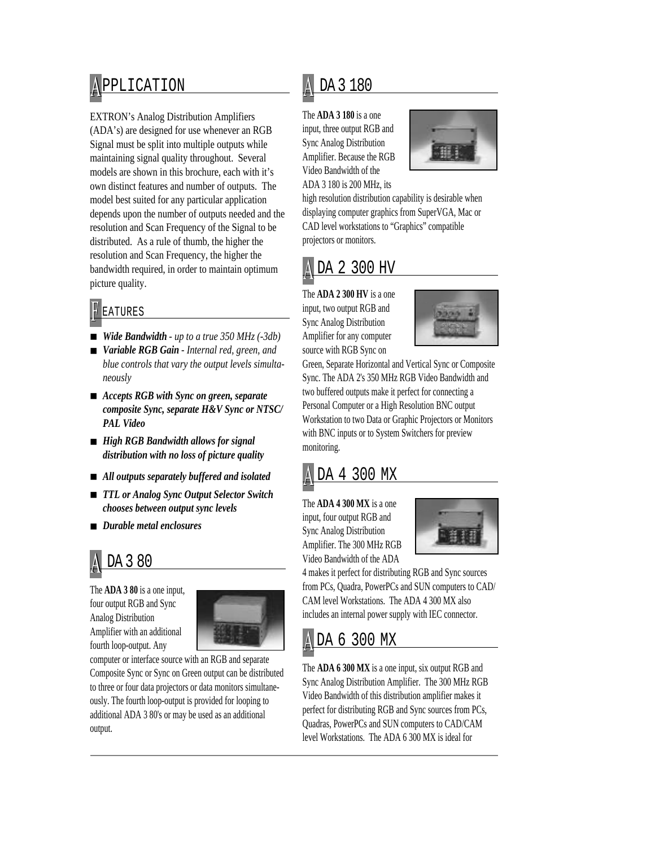## A PPLICATION

EXTRON's Analog Distribution Amplifiers (ADA's) are designed for use whenever an RGB Signal must be split into multiple outputs while maintaining signal quality throughout. Several models are shown in this brochure, each with it's own distinct features and number of outputs. The model best suited for any particular application depends upon the number of outputs needed and the resolution and Scan Frequency of the Signal to be distributed. As a rule of thumb, the higher the resolution and Scan Frequency, the higher the bandwidth required, in order to maintain optimum picture quality.

#### **F** EATURES

- *Wide Bandwidth up to a true 350 MHz (-3db)*
- *Variable RGB Gain Internal red, green, and blue controls that vary the output levels simultaneously*
- *Accepts RGB with Sync on green, separate composite Sync, separate H&V Sync or NTSC/ PAL Video*
- *High RGB Bandwidth allows for signal distribution with no loss of picture quality*
- *All outputs separately buffered and isolated*
- *TTL or Analog Sync Output Selector Switch chooses between output sync levels*
- *Durable metal enclosures*

## DA 3 80

The **ADA 3 80** is a one input, four output RGB and Sync Analog Distribution Amplifier with an additional fourth loop-output. Any



computer or interface source with an RGB and separate Composite Sync or Sync on Green output can be distributed to three or four data projectors or data monitors simultaneously. The fourth loop-output is provided for looping to additional ADA 3 80's or may be used as an additional output.

#### A DA 3 180

The **ADA 3 180** is a one input, three output RGB and Sync Analog Distribution Amplifier. Because the RGB Video Bandwidth of the ADA 3 180 is 200 MHz, its



high resolution distribution capability is desirable when displaying computer graphics from SuperVGA, Mac or CAD level workstations to "Graphics" compatible projectors or monitors.

### A DA 2 300 HV

The **ADA 2 300 HV** is a one input, two output RGB and Sync Analog Distribution Amplifier for any computer source with RGB Sync on



Green, Separate Horizontal and Vertical Sync or Composite Sync. The ADA 2's 350 MHz RGB Video Bandwidth and two buffered outputs make it perfect for connecting a Personal Computer or a High Resolution BNC output Workstation to two Data or Graphic Projectors or Monitors with BNC inputs or to System Switchers for preview monitoring.

#### DA 4 300 MX

The **ADA 4 300 MX** is a one input, four output RGB and Sync Analog Distribution Amplifier. The 300 MHz RGB Video Bandwidth of the ADA



4 makes it perfect for distributing RGB and Sync sources from PCs, Quadra, PowerPCs and SUN computers to CAD/ CAM level Workstations. The ADA 4 300 MX also includes an internal power supply with IEC connector.

#### A DA 6 300 MX

The **ADA 6 300 MX** is a one input, six output RGB and Sync Analog Distribution Amplifier. The 300 MHz RGB Video Bandwidth of this distribution amplifier makes it perfect for distributing RGB and Sync sources from PCs, Quadras, PowerPCs and SUN computers to CAD/CAM level Workstations. The ADA 6 300 MX is ideal for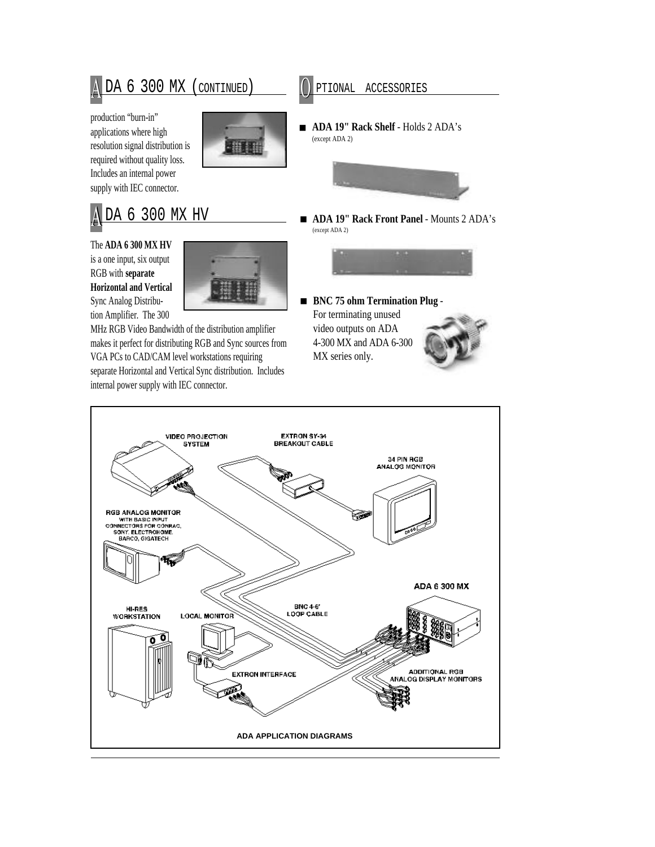A DA 6 300 MX (CONTINUED)

production "burn-in" applications where high resolution signal distribution is required without quality loss. Includes an internal power supply with IEC connector.



### DA 6 300 MX HV

The **ADA 6 300 MX HV** is a one input, six output RGB with **separate Horizontal and Vertical** Sync Analog Distribution Amplifier. The 300



MHz RGB Video Bandwidth of the distribution amplifier makes it perfect for distributing RGB and Sync sources from VGA PCs to CAD/CAM level workstations requiring separate Horizontal and Vertical Sync distribution. Includes internal power supply with IEC connector.

PTIONAL ACCESSORIES

■ **ADA 19" Rack Shelf** - Holds 2 ADA's (except ADA 2)



■ **ADA 19" Rack Front Panel** - Mounts 2 ADA's (except ADA 2)



■ **BNC 75 ohm Termination Plug** -For terminating unused video outputs on ADA 4-300 MX and ADA 6-300

MX series only.